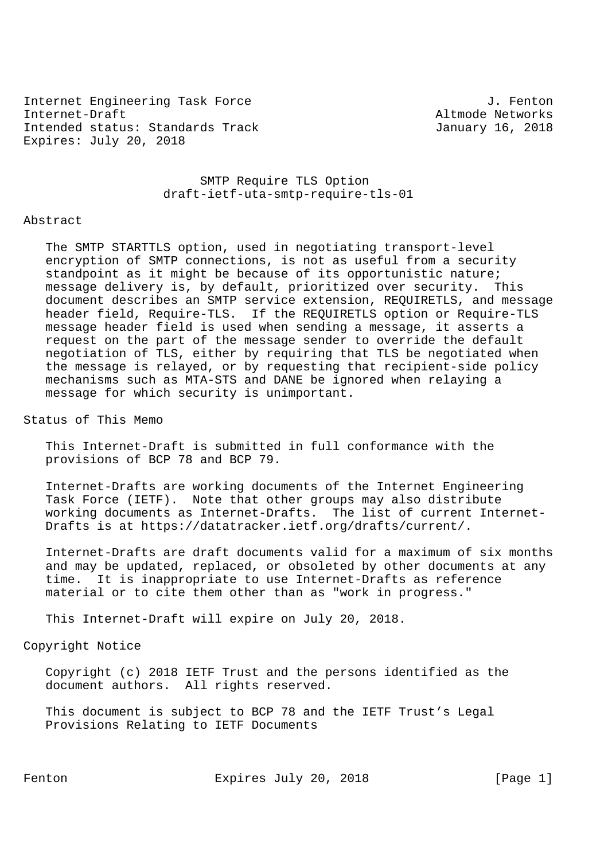Internet Engineering Task Force 30 and 1. Fenton Internet-Draft Altmode Networks Intended status: Standards Track January 16, 2018 Expires: July 20, 2018

 SMTP Require TLS Option draft-ietf-uta-smtp-require-tls-01

#### Abstract

 The SMTP STARTTLS option, used in negotiating transport-level encryption of SMTP connections, is not as useful from a security standpoint as it might be because of its opportunistic nature; message delivery is, by default, prioritized over security. This document describes an SMTP service extension, REQUIRETLS, and message header field, Require-TLS. If the REQUIRETLS option or Require-TLS message header field is used when sending a message, it asserts a request on the part of the message sender to override the default negotiation of TLS, either by requiring that TLS be negotiated when the message is relayed, or by requesting that recipient-side policy mechanisms such as MTA-STS and DANE be ignored when relaying a message for which security is unimportant.

Status of This Memo

 This Internet-Draft is submitted in full conformance with the provisions of BCP 78 and BCP 79.

 Internet-Drafts are working documents of the Internet Engineering Task Force (IETF). Note that other groups may also distribute working documents as Internet-Drafts. The list of current Internet- Drafts is at https://datatracker.ietf.org/drafts/current/.

 Internet-Drafts are draft documents valid for a maximum of six months and may be updated, replaced, or obsoleted by other documents at any time. It is inappropriate to use Internet-Drafts as reference material or to cite them other than as "work in progress."

This Internet-Draft will expire on July 20, 2018.

Copyright Notice

 Copyright (c) 2018 IETF Trust and the persons identified as the document authors. All rights reserved.

 This document is subject to BCP 78 and the IETF Trust's Legal Provisions Relating to IETF Documents

Fenton Expires July 20, 2018 [Page 1]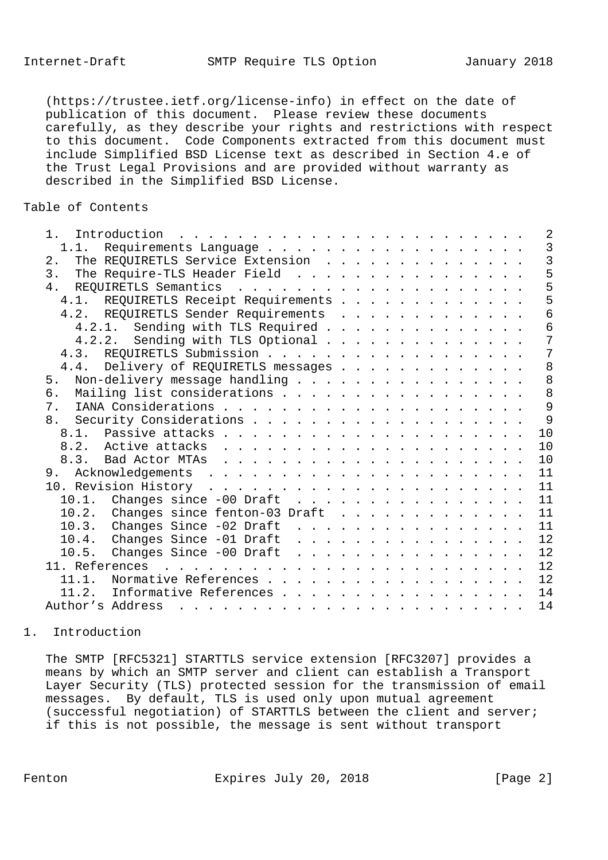(https://trustee.ietf.org/license-info) in effect on the date of publication of this document. Please review these documents carefully, as they describe your rights and restrictions with respect to this document. Code Components extracted from this document must include Simplified BSD License text as described in Section 4.e of the Trust Legal Provisions and are provided without warranty as described in the Simplified BSD License.

# Table of Contents

| $1$ .<br>Introduction<br>$\mathbf{1} \quad \mathbf{1} \quad \mathbf{1} \quad \mathbf{1} \quad \mathbf{1} \quad \mathbf{1} \quad \mathbf{1} \quad \mathbf{1} \quad \mathbf{1} \quad \mathbf{1} \quad \mathbf{1} \quad \mathbf{1} \quad \mathbf{1} \quad \mathbf{1} \quad \mathbf{1} \quad \mathbf{1} \quad \mathbf{1} \quad \mathbf{1} \quad \mathbf{1} \quad \mathbf{1} \quad \mathbf{1} \quad \mathbf{1} \quad \mathbf{1} \quad \mathbf{1} \quad \mathbf{1} \quad \mathbf{1} \quad \mathbf{1} \quad \mathbf{$ | $\overline{2}$ |
|----------------------------------------------------------------------------------------------------------------------------------------------------------------------------------------------------------------------------------------------------------------------------------------------------------------------------------------------------------------------------------------------------------------------------------------------------------------------------------------------------------------|----------------|
| 1.1. Requirements Language                                                                                                                                                                                                                                                                                                                                                                                                                                                                                     | 3              |
| The REQUIRETLS Service Extension<br>$2$ .                                                                                                                                                                                                                                                                                                                                                                                                                                                                      | $\overline{3}$ |
| 3.<br>The Require-TLS Header Field                                                                                                                                                                                                                                                                                                                                                                                                                                                                             | 5              |
| 4.                                                                                                                                                                                                                                                                                                                                                                                                                                                                                                             | 5              |
| 4.1. REQUIRETLS Receipt Requirements                                                                                                                                                                                                                                                                                                                                                                                                                                                                           | 5              |
| 4.2. REQUIRETLS Sender Requirements                                                                                                                                                                                                                                                                                                                                                                                                                                                                            | 6              |
| 4.2.1. Sending with TLS Required                                                                                                                                                                                                                                                                                                                                                                                                                                                                               | 6              |
| 4.2.2. Sending with TLS Optional                                                                                                                                                                                                                                                                                                                                                                                                                                                                               | 7              |
|                                                                                                                                                                                                                                                                                                                                                                                                                                                                                                                | 7              |
| 4.4. Delivery of REQUIRETLS messages                                                                                                                                                                                                                                                                                                                                                                                                                                                                           | 8              |
| Non-delivery message handling<br>5 <sub>1</sub>                                                                                                                                                                                                                                                                                                                                                                                                                                                                | 8              |
| Mailing list considerations<br>б.                                                                                                                                                                                                                                                                                                                                                                                                                                                                              | 8              |
| 7.                                                                                                                                                                                                                                                                                                                                                                                                                                                                                                             | 9              |
| 8.                                                                                                                                                                                                                                                                                                                                                                                                                                                                                                             | 9              |
|                                                                                                                                                                                                                                                                                                                                                                                                                                                                                                                | 10             |
|                                                                                                                                                                                                                                                                                                                                                                                                                                                                                                                | 10             |
|                                                                                                                                                                                                                                                                                                                                                                                                                                                                                                                | 10             |
|                                                                                                                                                                                                                                                                                                                                                                                                                                                                                                                | 11             |
|                                                                                                                                                                                                                                                                                                                                                                                                                                                                                                                | 11             |
| 10.1. Changes since $-00$ Draft                                                                                                                                                                                                                                                                                                                                                                                                                                                                                | 11             |
| 10.2. Changes since fenton-03 Draft                                                                                                                                                                                                                                                                                                                                                                                                                                                                            | 11             |
| 10.3. Changes Since -02 Draft                                                                                                                                                                                                                                                                                                                                                                                                                                                                                  | 11             |
| 10.4. Changes Since $-01$ Draft                                                                                                                                                                                                                                                                                                                                                                                                                                                                                | 12             |
| 10.5. Changes Since -00 Draft                                                                                                                                                                                                                                                                                                                                                                                                                                                                                  | 12             |
|                                                                                                                                                                                                                                                                                                                                                                                                                                                                                                                | 12             |
| Normative References<br>11.1.                                                                                                                                                                                                                                                                                                                                                                                                                                                                                  | 12             |
| Informative References<br>11.2.                                                                                                                                                                                                                                                                                                                                                                                                                                                                                | 14             |
| Author's Address                                                                                                                                                                                                                                                                                                                                                                                                                                                                                               | 14             |
|                                                                                                                                                                                                                                                                                                                                                                                                                                                                                                                |                |

## 1. Introduction

 The SMTP [RFC5321] STARTTLS service extension [RFC3207] provides a means by which an SMTP server and client can establish a Transport Layer Security (TLS) protected session for the transmission of email messages. By default, TLS is used only upon mutual agreement (successful negotiation) of STARTTLS between the client and server; if this is not possible, the message is sent without transport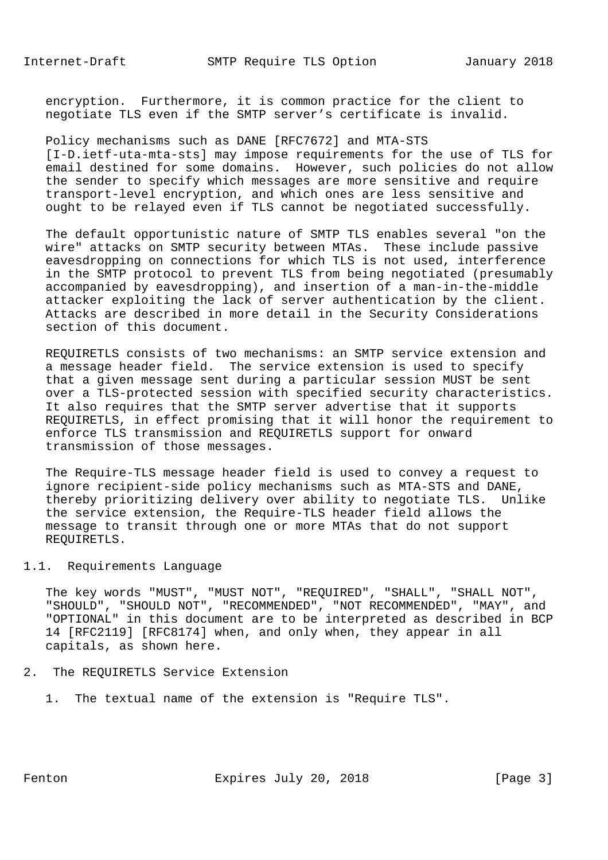encryption. Furthermore, it is common practice for the client to negotiate TLS even if the SMTP server's certificate is invalid.

 Policy mechanisms such as DANE [RFC7672] and MTA-STS [I-D.ietf-uta-mta-sts] may impose requirements for the use of TLS for email destined for some domains. However, such policies do not allow the sender to specify which messages are more sensitive and require transport-level encryption, and which ones are less sensitive and ought to be relayed even if TLS cannot be negotiated successfully.

 The default opportunistic nature of SMTP TLS enables several "on the wire" attacks on SMTP security between MTAs. These include passive eavesdropping on connections for which TLS is not used, interference in the SMTP protocol to prevent TLS from being negotiated (presumably accompanied by eavesdropping), and insertion of a man-in-the-middle attacker exploiting the lack of server authentication by the client. Attacks are described in more detail in the Security Considerations section of this document.

 REQUIRETLS consists of two mechanisms: an SMTP service extension and a message header field. The service extension is used to specify that a given message sent during a particular session MUST be sent over a TLS-protected session with specified security characteristics. It also requires that the SMTP server advertise that it supports REQUIRETLS, in effect promising that it will honor the requirement to enforce TLS transmission and REQUIRETLS support for onward transmission of those messages.

 The Require-TLS message header field is used to convey a request to ignore recipient-side policy mechanisms such as MTA-STS and DANE, thereby prioritizing delivery over ability to negotiate TLS. Unlike the service extension, the Require-TLS header field allows the message to transit through one or more MTAs that do not support REQUIRETLS.

# 1.1. Requirements Language

 The key words "MUST", "MUST NOT", "REQUIRED", "SHALL", "SHALL NOT", "SHOULD", "SHOULD NOT", "RECOMMENDED", "NOT RECOMMENDED", "MAY", and "OPTIONAL" in this document are to be interpreted as described in BCP 14 [RFC2119] [RFC8174] when, and only when, they appear in all capitals, as shown here.

#### 2. The REQUIRETLS Service Extension

1. The textual name of the extension is "Require TLS".

Fenton Expires July 20, 2018 [Page 3]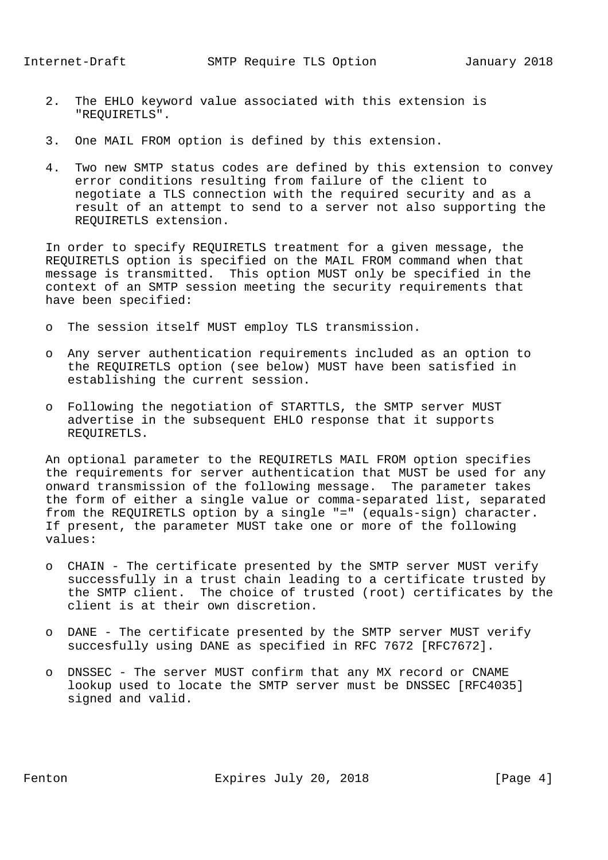- 2. The EHLO keyword value associated with this extension is "REQUIRETLS".
- 3. One MAIL FROM option is defined by this extension.
- 4. Two new SMTP status codes are defined by this extension to convey error conditions resulting from failure of the client to negotiate a TLS connection with the required security and as a result of an attempt to send to a server not also supporting the REQUIRETLS extension.

 In order to specify REQUIRETLS treatment for a given message, the REQUIRETLS option is specified on the MAIL FROM command when that message is transmitted. This option MUST only be specified in the context of an SMTP session meeting the security requirements that have been specified:

- o The session itself MUST employ TLS transmission.
- o Any server authentication requirements included as an option to the REQUIRETLS option (see below) MUST have been satisfied in establishing the current session.
- o Following the negotiation of STARTTLS, the SMTP server MUST advertise in the subsequent EHLO response that it supports REQUIRETLS.

 An optional parameter to the REQUIRETLS MAIL FROM option specifies the requirements for server authentication that MUST be used for any onward transmission of the following message. The parameter takes the form of either a single value or comma-separated list, separated from the REQUIRETLS option by a single "=" (equals-sign) character. If present, the parameter MUST take one or more of the following values:

- o CHAIN The certificate presented by the SMTP server MUST verify successfully in a trust chain leading to a certificate trusted by the SMTP client. The choice of trusted (root) certificates by the client is at their own discretion.
- o DANE The certificate presented by the SMTP server MUST verify succesfully using DANE as specified in RFC 7672 [RFC7672].
- o DNSSEC The server MUST confirm that any MX record or CNAME lookup used to locate the SMTP server must be DNSSEC [RFC4035] signed and valid.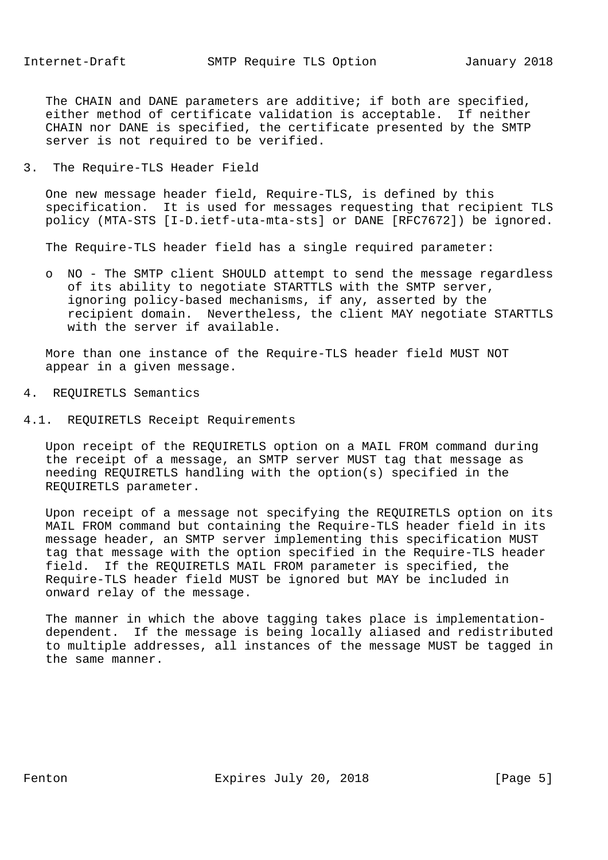The CHAIN and DANE parameters are additive; if both are specified, either method of certificate validation is acceptable. If neither CHAIN nor DANE is specified, the certificate presented by the SMTP server is not required to be verified.

3. The Require-TLS Header Field

 One new message header field, Require-TLS, is defined by this specification. It is used for messages requesting that recipient TLS policy (MTA-STS [I-D.ietf-uta-mta-sts] or DANE [RFC7672]) be ignored.

The Require-TLS header field has a single required parameter:

 o NO - The SMTP client SHOULD attempt to send the message regardless of its ability to negotiate STARTTLS with the SMTP server, ignoring policy-based mechanisms, if any, asserted by the recipient domain. Nevertheless, the client MAY negotiate STARTTLS with the server if available.

 More than one instance of the Require-TLS header field MUST NOT appear in a given message.

- 4. REQUIRETLS Semantics
- 4.1. REQUIRETLS Receipt Requirements

 Upon receipt of the REQUIRETLS option on a MAIL FROM command during the receipt of a message, an SMTP server MUST tag that message as needing REQUIRETLS handling with the option(s) specified in the REQUIRETLS parameter.

 Upon receipt of a message not specifying the REQUIRETLS option on its MAIL FROM command but containing the Require-TLS header field in its message header, an SMTP server implementing this specification MUST tag that message with the option specified in the Require-TLS header field. If the REQUIRETLS MAIL FROM parameter is specified, the Require-TLS header field MUST be ignored but MAY be included in onward relay of the message.

 The manner in which the above tagging takes place is implementation dependent. If the message is being locally aliased and redistributed to multiple addresses, all instances of the message MUST be tagged in the same manner.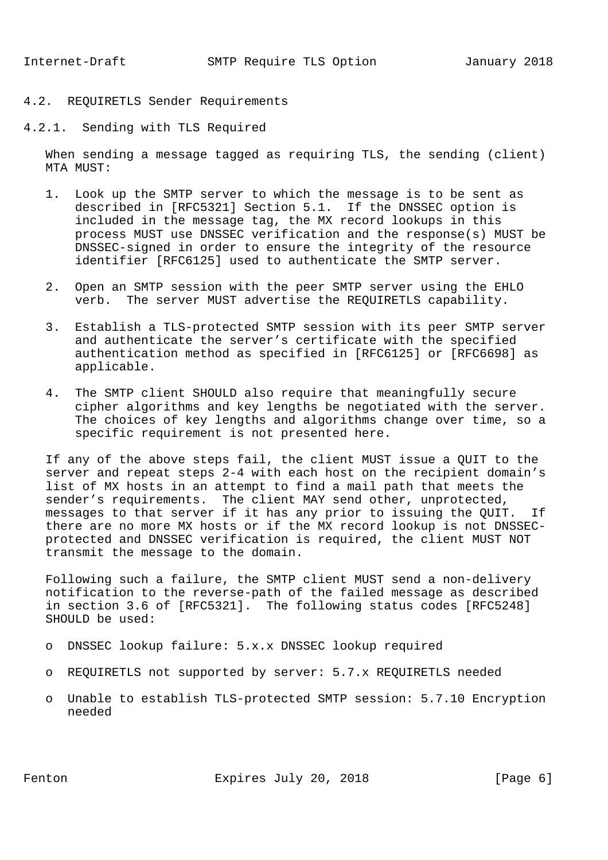# 4.2. REQUIRETLS Sender Requirements

4.2.1. Sending with TLS Required

 When sending a message tagged as requiring TLS, the sending (client) MTA MUST:

- 1. Look up the SMTP server to which the message is to be sent as described in [RFC5321] Section 5.1. If the DNSSEC option is included in the message tag, the MX record lookups in this process MUST use DNSSEC verification and the response(s) MUST be DNSSEC-signed in order to ensure the integrity of the resource identifier [RFC6125] used to authenticate the SMTP server.
- 2. Open an SMTP session with the peer SMTP server using the EHLO verb. The server MUST advertise the REQUIRETLS capability.
- 3. Establish a TLS-protected SMTP session with its peer SMTP server and authenticate the server's certificate with the specified authentication method as specified in [RFC6125] or [RFC6698] as applicable.
- 4. The SMTP client SHOULD also require that meaningfully secure cipher algorithms and key lengths be negotiated with the server. The choices of key lengths and algorithms change over time, so a specific requirement is not presented here.

 If any of the above steps fail, the client MUST issue a QUIT to the server and repeat steps 2-4 with each host on the recipient domain's list of MX hosts in an attempt to find a mail path that meets the sender's requirements. The client MAY send other, unprotected, messages to that server if it has any prior to issuing the QUIT. If there are no more MX hosts or if the MX record lookup is not DNSSEC protected and DNSSEC verification is required, the client MUST NOT transmit the message to the domain.

 Following such a failure, the SMTP client MUST send a non-delivery notification to the reverse-path of the failed message as described in section 3.6 of [RFC5321]. The following status codes [RFC5248] SHOULD be used:

- o DNSSEC lookup failure: 5.x.x DNSSEC lookup required
- o REQUIRETLS not supported by server: 5.7.x REQUIRETLS needed
- o Unable to establish TLS-protected SMTP session: 5.7.10 Encryption needed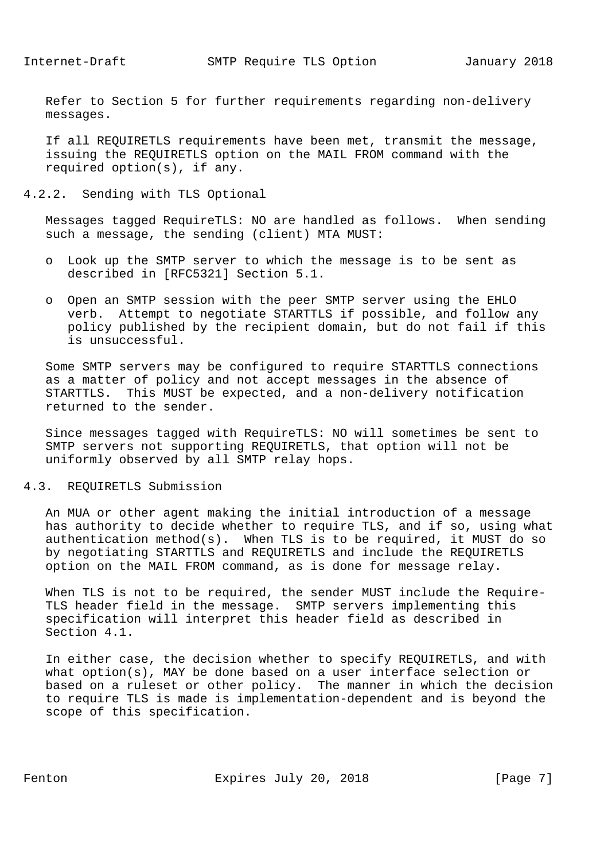Refer to Section 5 for further requirements regarding non-delivery messages.

 If all REQUIRETLS requirements have been met, transmit the message, issuing the REQUIRETLS option on the MAIL FROM command with the required option(s), if any.

4.2.2. Sending with TLS Optional

 Messages tagged RequireTLS: NO are handled as follows. When sending such a message, the sending (client) MTA MUST:

- o Look up the SMTP server to which the message is to be sent as described in [RFC5321] Section 5.1.
- o Open an SMTP session with the peer SMTP server using the EHLO verb. Attempt to negotiate STARTTLS if possible, and follow any policy published by the recipient domain, but do not fail if this is unsuccessful.

 Some SMTP servers may be configured to require STARTTLS connections as a matter of policy and not accept messages in the absence of STARTTLS. This MUST be expected, and a non-delivery notification returned to the sender.

 Since messages tagged with RequireTLS: NO will sometimes be sent to SMTP servers not supporting REQUIRETLS, that option will not be uniformly observed by all SMTP relay hops.

4.3. REQUIRETLS Submission

 An MUA or other agent making the initial introduction of a message has authority to decide whether to require TLS, and if so, using what authentication method(s). When TLS is to be required, it MUST do so by negotiating STARTTLS and REQUIRETLS and include the REQUIRETLS option on the MAIL FROM command, as is done for message relay.

 When TLS is not to be required, the sender MUST include the Require- TLS header field in the message. SMTP servers implementing this specification will interpret this header field as described in Section 4.1.

 In either case, the decision whether to specify REQUIRETLS, and with what option(s), MAY be done based on a user interface selection or based on a ruleset or other policy. The manner in which the decision to require TLS is made is implementation-dependent and is beyond the scope of this specification.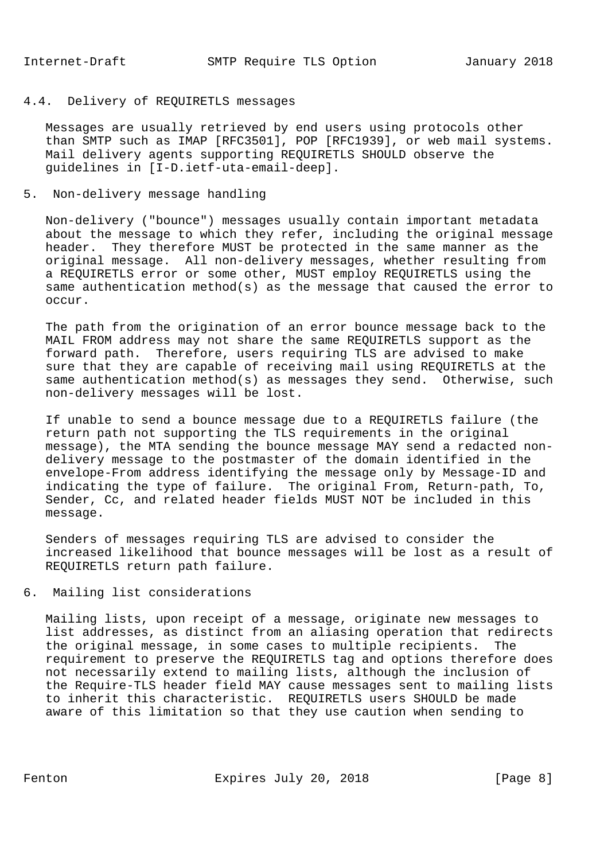# 4.4. Delivery of REQUIRETLS messages

 Messages are usually retrieved by end users using protocols other than SMTP such as IMAP [RFC3501], POP [RFC1939], or web mail systems. Mail delivery agents supporting REQUIRETLS SHOULD observe the guidelines in [I-D.ietf-uta-email-deep].

### 5. Non-delivery message handling

 Non-delivery ("bounce") messages usually contain important metadata about the message to which they refer, including the original message header. They therefore MUST be protected in the same manner as the original message. All non-delivery messages, whether resulting from a REQUIRETLS error or some other, MUST employ REQUIRETLS using the same authentication method(s) as the message that caused the error to occur.

 The path from the origination of an error bounce message back to the MAIL FROM address may not share the same REQUIRETLS support as the forward path. Therefore, users requiring TLS are advised to make sure that they are capable of receiving mail using REQUIRETLS at the same authentication method(s) as messages they send. Otherwise, such non-delivery messages will be lost.

 If unable to send a bounce message due to a REQUIRETLS failure (the return path not supporting the TLS requirements in the original message), the MTA sending the bounce message MAY send a redacted non delivery message to the postmaster of the domain identified in the envelope-From address identifying the message only by Message-ID and indicating the type of failure. The original From, Return-path, To, Sender, Cc, and related header fields MUST NOT be included in this message.

 Senders of messages requiring TLS are advised to consider the increased likelihood that bounce messages will be lost as a result of REQUIRETLS return path failure.

6. Mailing list considerations

 Mailing lists, upon receipt of a message, originate new messages to list addresses, as distinct from an aliasing operation that redirects the original message, in some cases to multiple recipients. The requirement to preserve the REQUIRETLS tag and options therefore does not necessarily extend to mailing lists, although the inclusion of the Require-TLS header field MAY cause messages sent to mailing lists to inherit this characteristic. REQUIRETLS users SHOULD be made aware of this limitation so that they use caution when sending to

Fenton **Expires July 20, 2018** [Page 8]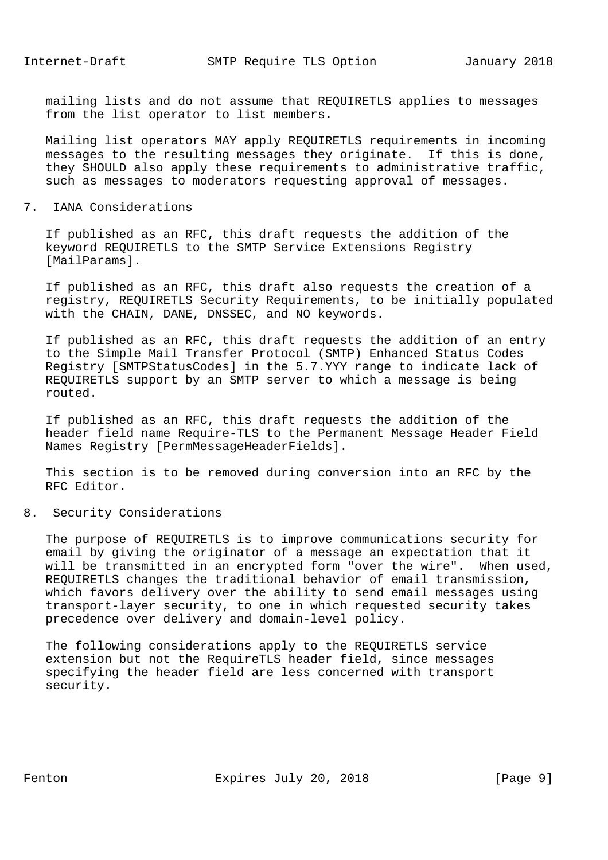mailing lists and do not assume that REQUIRETLS applies to messages from the list operator to list members.

 Mailing list operators MAY apply REQUIRETLS requirements in incoming messages to the resulting messages they originate. If this is done, they SHOULD also apply these requirements to administrative traffic, such as messages to moderators requesting approval of messages.

## 7. IANA Considerations

 If published as an RFC, this draft requests the addition of the keyword REQUIRETLS to the SMTP Service Extensions Registry [MailParams].

 If published as an RFC, this draft also requests the creation of a registry, REQUIRETLS Security Requirements, to be initially populated with the CHAIN, DANE, DNSSEC, and NO keywords.

 If published as an RFC, this draft requests the addition of an entry to the Simple Mail Transfer Protocol (SMTP) Enhanced Status Codes Registry [SMTPStatusCodes] in the 5.7.YYY range to indicate lack of REQUIRETLS support by an SMTP server to which a message is being routed.

 If published as an RFC, this draft requests the addition of the header field name Require-TLS to the Permanent Message Header Field Names Registry [PermMessageHeaderFields].

 This section is to be removed during conversion into an RFC by the RFC Editor.

### 8. Security Considerations

 The purpose of REQUIRETLS is to improve communications security for email by giving the originator of a message an expectation that it will be transmitted in an encrypted form "over the wire". When used, REQUIRETLS changes the traditional behavior of email transmission, which favors delivery over the ability to send email messages using transport-layer security, to one in which requested security takes precedence over delivery and domain-level policy.

 The following considerations apply to the REQUIRETLS service extension but not the RequireTLS header field, since messages specifying the header field are less concerned with transport security.

Fenton Expires July 20, 2018 [Page 9]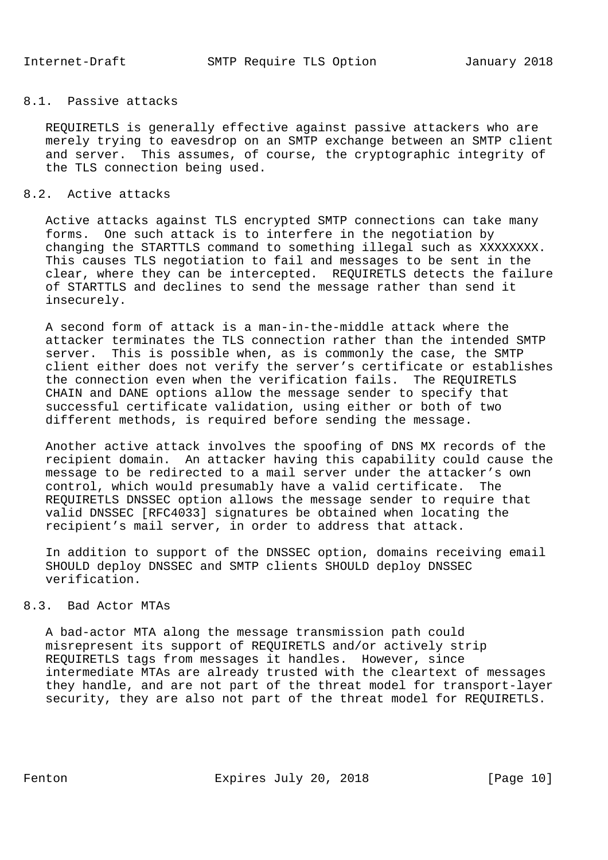# 8.1. Passive attacks

 REQUIRETLS is generally effective against passive attackers who are merely trying to eavesdrop on an SMTP exchange between an SMTP client and server. This assumes, of course, the cryptographic integrity of the TLS connection being used.

# 8.2. Active attacks

 Active attacks against TLS encrypted SMTP connections can take many forms. One such attack is to interfere in the negotiation by changing the STARTTLS command to something illegal such as XXXXXXXX. This causes TLS negotiation to fail and messages to be sent in the clear, where they can be intercepted. REQUIRETLS detects the failure of STARTTLS and declines to send the message rather than send it insecurely.

 A second form of attack is a man-in-the-middle attack where the attacker terminates the TLS connection rather than the intended SMTP server. This is possible when, as is commonly the case, the SMTP client either does not verify the server's certificate or establishes the connection even when the verification fails. The REQUIRETLS CHAIN and DANE options allow the message sender to specify that successful certificate validation, using either or both of two different methods, is required before sending the message.

 Another active attack involves the spoofing of DNS MX records of the recipient domain. An attacker having this capability could cause the message to be redirected to a mail server under the attacker's own control, which would presumably have a valid certificate. The REQUIRETLS DNSSEC option allows the message sender to require that valid DNSSEC [RFC4033] signatures be obtained when locating the recipient's mail server, in order to address that attack.

 In addition to support of the DNSSEC option, domains receiving email SHOULD deploy DNSSEC and SMTP clients SHOULD deploy DNSSEC verification.

### 8.3. Bad Actor MTAs

 A bad-actor MTA along the message transmission path could misrepresent its support of REQUIRETLS and/or actively strip REQUIRETLS tags from messages it handles. However, since intermediate MTAs are already trusted with the cleartext of messages they handle, and are not part of the threat model for transport-layer security, they are also not part of the threat model for REQUIRETLS.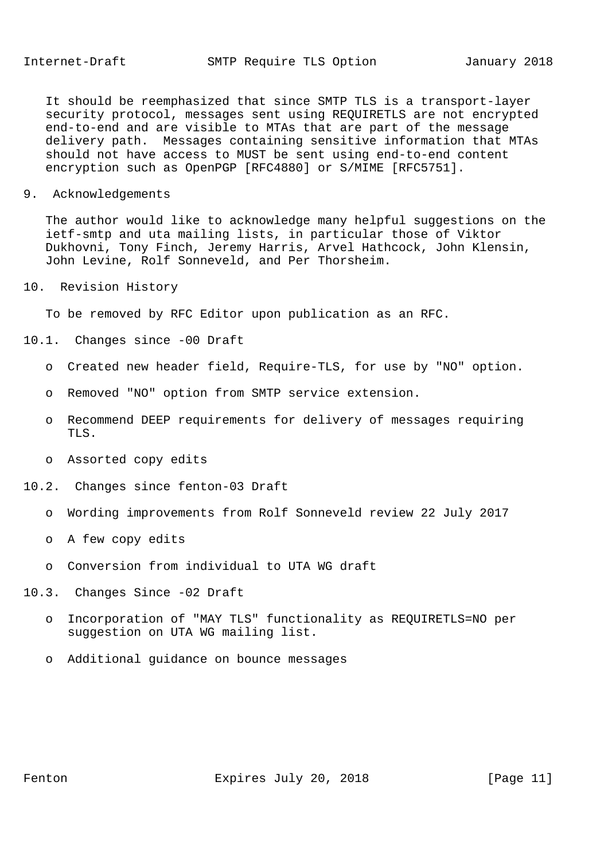It should be reemphasized that since SMTP TLS is a transport-layer security protocol, messages sent using REQUIRETLS are not encrypted end-to-end and are visible to MTAs that are part of the message delivery path. Messages containing sensitive information that MTAs should not have access to MUST be sent using end-to-end content encryption such as OpenPGP [RFC4880] or S/MIME [RFC5751].

9. Acknowledgements

 The author would like to acknowledge many helpful suggestions on the ietf-smtp and uta mailing lists, in particular those of Viktor Dukhovni, Tony Finch, Jeremy Harris, Arvel Hathcock, John Klensin, John Levine, Rolf Sonneveld, and Per Thorsheim.

10. Revision History

To be removed by RFC Editor upon publication as an RFC.

- 10.1. Changes since -00 Draft
	- o Created new header field, Require-TLS, for use by "NO" option.
	- o Removed "NO" option from SMTP service extension.
	- o Recommend DEEP requirements for delivery of messages requiring TLS.
	- o Assorted copy edits
- 10.2. Changes since fenton-03 Draft
	- o Wording improvements from Rolf Sonneveld review 22 July 2017
	- o A few copy edits
	- o Conversion from individual to UTA WG draft
- 10.3. Changes Since -02 Draft
	- o Incorporation of "MAY TLS" functionality as REQUIRETLS=NO per suggestion on UTA WG mailing list.
	- o Additional guidance on bounce messages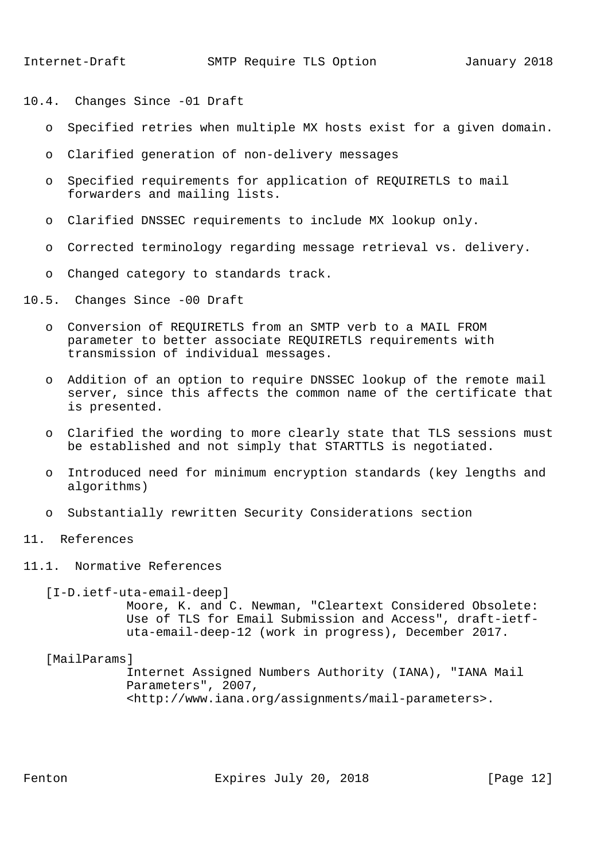- 10.4. Changes Since -01 Draft
	- o Specified retries when multiple MX hosts exist for a given domain.
	- o Clarified generation of non-delivery messages
	- o Specified requirements for application of REQUIRETLS to mail forwarders and mailing lists.
	- o Clarified DNSSEC requirements to include MX lookup only.
	- o Corrected terminology regarding message retrieval vs. delivery.
	- o Changed category to standards track.
- 10.5. Changes Since -00 Draft
	- o Conversion of REQUIRETLS from an SMTP verb to a MAIL FROM parameter to better associate REQUIRETLS requirements with transmission of individual messages.
	- o Addition of an option to require DNSSEC lookup of the remote mail server, since this affects the common name of the certificate that is presented.
	- o Clarified the wording to more clearly state that TLS sessions must be established and not simply that STARTTLS is negotiated.
	- o Introduced need for minimum encryption standards (key lengths and algorithms)
	- o Substantially rewritten Security Considerations section
- 11. References
- 11.1. Normative References

[I-D.ietf-uta-email-deep]

 Moore, K. and C. Newman, "Cleartext Considered Obsolete: Use of TLS for Email Submission and Access", draft-ietf uta-email-deep-12 (work in progress), December 2017.

[MailParams]

 Internet Assigned Numbers Authority (IANA), "IANA Mail Parameters", 2007, <http://www.iana.org/assignments/mail-parameters>.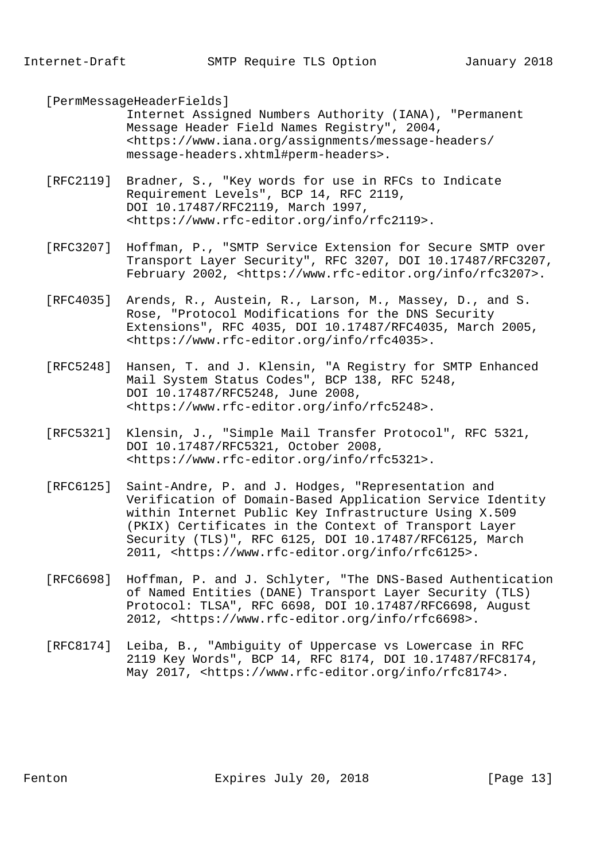[PermMessageHeaderFields]

 Internet Assigned Numbers Authority (IANA), "Permanent Message Header Field Names Registry", 2004, <https://www.iana.org/assignments/message-headers/ message-headers.xhtml#perm-headers>.

- [RFC2119] Bradner, S., "Key words for use in RFCs to Indicate Requirement Levels", BCP 14, RFC 2119, DOI 10.17487/RFC2119, March 1997, <https://www.rfc-editor.org/info/rfc2119>.
- [RFC3207] Hoffman, P., "SMTP Service Extension for Secure SMTP over Transport Layer Security", RFC 3207, DOI 10.17487/RFC3207, February 2002, <https://www.rfc-editor.org/info/rfc3207>.
- [RFC4035] Arends, R., Austein, R., Larson, M., Massey, D., and S. Rose, "Protocol Modifications for the DNS Security Extensions", RFC 4035, DOI 10.17487/RFC4035, March 2005, <https://www.rfc-editor.org/info/rfc4035>.
- [RFC5248] Hansen, T. and J. Klensin, "A Registry for SMTP Enhanced Mail System Status Codes", BCP 138, RFC 5248, DOI 10.17487/RFC5248, June 2008, <https://www.rfc-editor.org/info/rfc5248>.
- [RFC5321] Klensin, J., "Simple Mail Transfer Protocol", RFC 5321, DOI 10.17487/RFC5321, October 2008, <https://www.rfc-editor.org/info/rfc5321>.
- [RFC6125] Saint-Andre, P. and J. Hodges, "Representation and Verification of Domain-Based Application Service Identity within Internet Public Key Infrastructure Using X.509 (PKIX) Certificates in the Context of Transport Layer Security (TLS)", RFC 6125, DOI 10.17487/RFC6125, March 2011, <https://www.rfc-editor.org/info/rfc6125>.
- [RFC6698] Hoffman, P. and J. Schlyter, "The DNS-Based Authentication of Named Entities (DANE) Transport Layer Security (TLS) Protocol: TLSA", RFC 6698, DOI 10.17487/RFC6698, August 2012, <https://www.rfc-editor.org/info/rfc6698>.
- [RFC8174] Leiba, B., "Ambiguity of Uppercase vs Lowercase in RFC 2119 Key Words", BCP 14, RFC 8174, DOI 10.17487/RFC8174, May 2017, <https://www.rfc-editor.org/info/rfc8174>.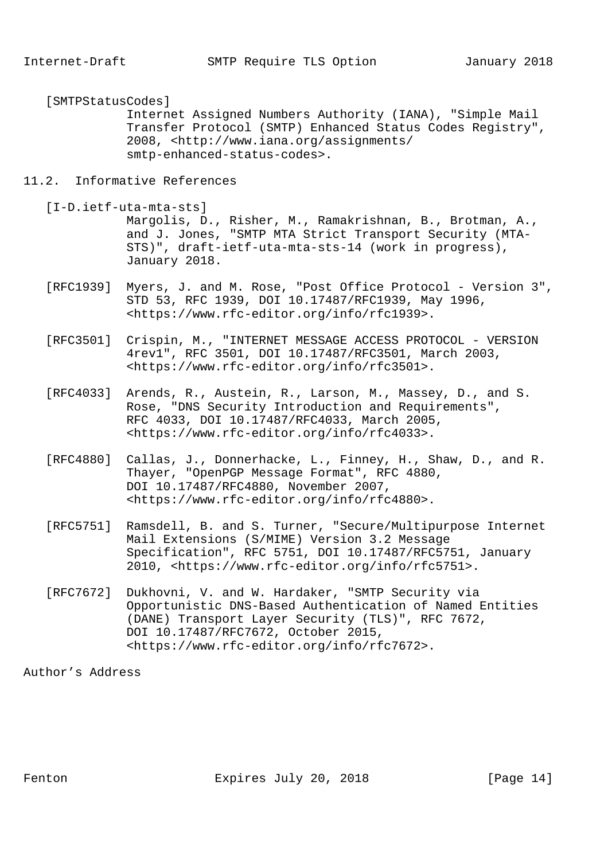[SMTPStatusCodes]

 Internet Assigned Numbers Authority (IANA), "Simple Mail Transfer Protocol (SMTP) Enhanced Status Codes Registry", 2008, <http://www.iana.org/assignments/ smtp-enhanced-status-codes>.

#### 11.2. Informative References

[I-D.ietf-uta-mta-sts]

 Margolis, D., Risher, M., Ramakrishnan, B., Brotman, A., and J. Jones, "SMTP MTA Strict Transport Security (MTA- STS)", draft-ietf-uta-mta-sts-14 (work in progress), January 2018.

- [RFC1939] Myers, J. and M. Rose, "Post Office Protocol Version 3", STD 53, RFC 1939, DOI 10.17487/RFC1939, May 1996, <https://www.rfc-editor.org/info/rfc1939>.
- [RFC3501] Crispin, M., "INTERNET MESSAGE ACCESS PROTOCOL VERSION 4rev1", RFC 3501, DOI 10.17487/RFC3501, March 2003, <https://www.rfc-editor.org/info/rfc3501>.
- [RFC4033] Arends, R., Austein, R., Larson, M., Massey, D., and S. Rose, "DNS Security Introduction and Requirements", RFC 4033, DOI 10.17487/RFC4033, March 2005, <https://www.rfc-editor.org/info/rfc4033>.
- [RFC4880] Callas, J., Donnerhacke, L., Finney, H., Shaw, D., and R. Thayer, "OpenPGP Message Format", RFC 4880, DOI 10.17487/RFC4880, November 2007, <https://www.rfc-editor.org/info/rfc4880>.
- [RFC5751] Ramsdell, B. and S. Turner, "Secure/Multipurpose Internet Mail Extensions (S/MIME) Version 3.2 Message Specification", RFC 5751, DOI 10.17487/RFC5751, January 2010, <https://www.rfc-editor.org/info/rfc5751>.
- [RFC7672] Dukhovni, V. and W. Hardaker, "SMTP Security via Opportunistic DNS-Based Authentication of Named Entities (DANE) Transport Layer Security (TLS)", RFC 7672, DOI 10.17487/RFC7672, October 2015, <https://www.rfc-editor.org/info/rfc7672>.

Author's Address